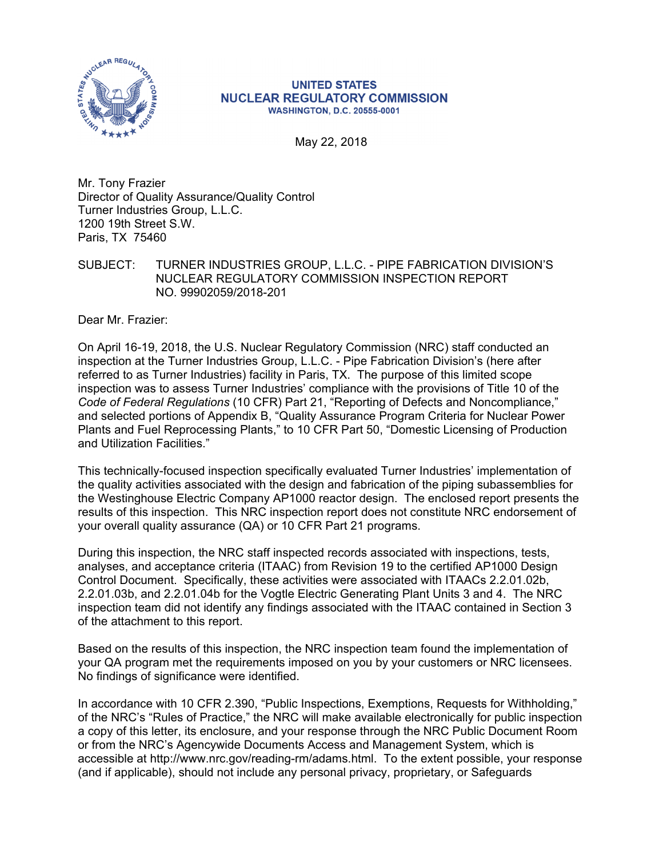

#### **UNITED STATES NUCLEAR REGULATORY COMMISSION WASHINGTON, D.C. 20555-0001**

May 22, 2018

Mr. Tony Frazier Director of Quality Assurance/Quality Control Turner Industries Group, L.L.C. 1200 19th Street S.W. Paris, TX 75460

SUBJECT: TURNER INDUSTRIES GROUP, L.L.C. - PIPE FABRICATION DIVISION'S NUCLEAR REGULATORY COMMISSION INSPECTION REPORT NO. 99902059/2018-201

Dear Mr. Frazier:

On April 16-19, 2018, the U.S. Nuclear Regulatory Commission (NRC) staff conducted an inspection at the Turner Industries Group, L.L.C. - Pipe Fabrication Division's (here after referred to as Turner Industries) facility in Paris, TX. The purpose of this limited scope inspection was to assess Turner Industries' compliance with the provisions of Title 10 of the *Code of Federal Regulations* (10 CFR) Part 21, "Reporting of Defects and Noncompliance," and selected portions of Appendix B, "Quality Assurance Program Criteria for Nuclear Power Plants and Fuel Reprocessing Plants," to 10 CFR Part 50, "Domestic Licensing of Production and Utilization Facilities."

This technically-focused inspection specifically evaluated Turner Industries' implementation of the quality activities associated with the design and fabrication of the piping subassemblies for the Westinghouse Electric Company AP1000 reactor design. The enclosed report presents the results of this inspection. This NRC inspection report does not constitute NRC endorsement of your overall quality assurance (QA) or 10 CFR Part 21 programs.

During this inspection, the NRC staff inspected records associated with inspections, tests, analyses, and acceptance criteria (ITAAC) from Revision 19 to the certified AP1000 Design Control Document. Specifically, these activities were associated with ITAACs 2.2.01.02b, 2.2.01.03b, and 2.2.01.04b for the Vogtle Electric Generating Plant Units 3 and 4. The NRC inspection team did not identify any findings associated with the ITAAC contained in Section 3 of the attachment to this report.

Based on the results of this inspection, the NRC inspection team found the implementation of your QA program met the requirements imposed on you by your customers or NRC licensees. No findings of significance were identified.

In accordance with 10 CFR 2.390, "Public Inspections, Exemptions, Requests for Withholding," of the NRC's "Rules of Practice," the NRC will make available electronically for public inspection a copy of this letter, its enclosure, and your response through the NRC Public Document Room or from the NRC's Agencywide Documents Access and Management System, which is accessible at http://www.nrc.gov/reading-rm/adams.html. To the extent possible, your response (and if applicable), should not include any personal privacy, proprietary, or Safeguards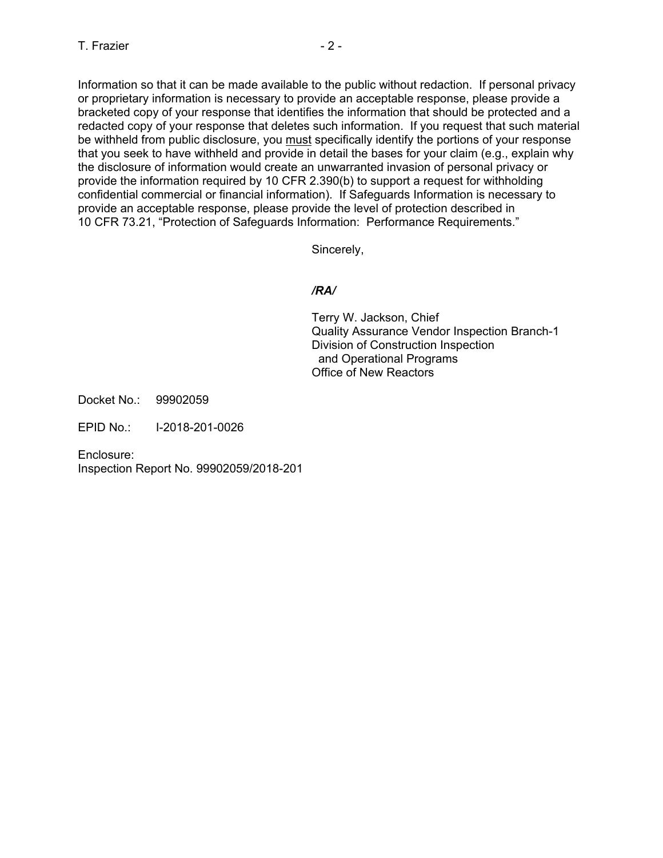Information so that it can be made available to the public without redaction. If personal privacy or proprietary information is necessary to provide an acceptable response, please provide a bracketed copy of your response that identifies the information that should be protected and a redacted copy of your response that deletes such information. If you request that such material be withheld from public disclosure, you must specifically identify the portions of your response that you seek to have withheld and provide in detail the bases for your claim (e.g., explain why the disclosure of information would create an unwarranted invasion of personal privacy or provide the information required by 10 CFR 2.390(b) to support a request for withholding confidential commercial or financial information). If Safeguards Information is necessary to provide an acceptable response, please provide the level of protection described in 10 CFR 73.21, "Protection of Safeguards Information: Performance Requirements."

Sincerely,

## */RA/*

Terry W. Jackson, Chief Quality Assurance Vendor Inspection Branch-1 Division of Construction Inspection and Operational Programs Office of New Reactors

Docket No.: 99902059

EPID No.: I-2018-201-0026

Enclosure:

Inspection Report No. 99902059/2018-201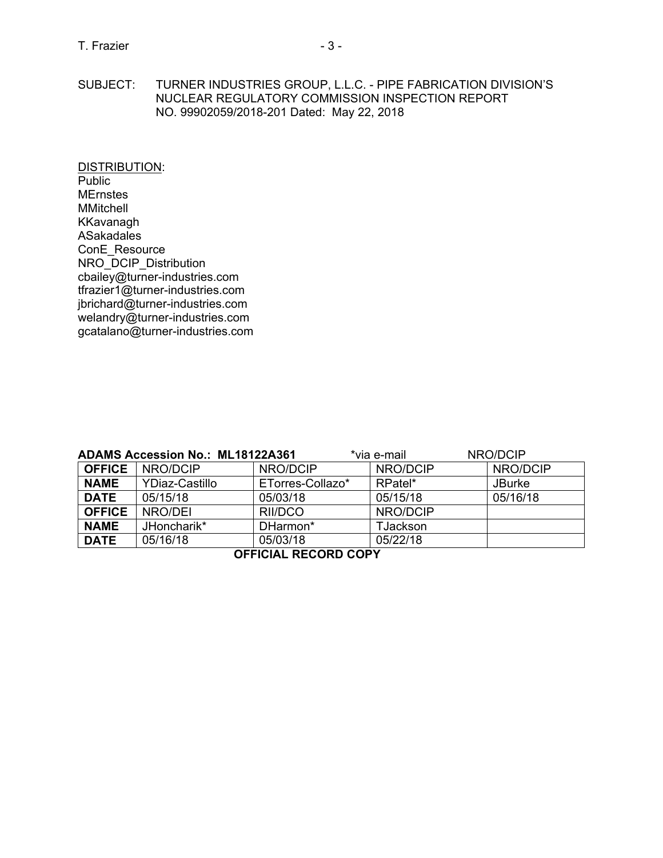SUBJECT: TURNER INDUSTRIES GROUP, L.L.C. - PIPE FABRICATION DIVISION'S NUCLEAR REGULATORY COMMISSION INSPECTION REPORT NO. 99902059/2018-201 Dated: May 22, 2018

DISTRIBUTION: Public **MErnstes** MMitchell KKavanagh ASakadales ConE\_Resource NRO\_DCIP\_Distribution cbailey@turner-industries.com tfrazier1@turner-industries.com jbrichard@turner-industries.com welandry@turner-industries.com gcatalano@turner-industries.com

| NRO/DCIP<br><b>ADAMS Accession No.: ML18122A361</b><br>*via e-mail |                 |                  |                 |               |
|--------------------------------------------------------------------|-----------------|------------------|-----------------|---------------|
| <b>OFFICE</b>                                                      | <b>NRO/DCIP</b> | NRO/DCIP         | NRO/DCIP        | NRO/DCIP      |
| <b>NAME</b>                                                        | YDiaz-Castillo  | ETorres-Collazo* | RPatel*         | <b>JBurke</b> |
| <b>DATE</b>                                                        | 05/15/18        | 05/03/18         | 05/15/18        | 05/16/18      |
| <b>OFFICE</b>                                                      | NRO/DEI         | RII/DCO          | NRO/DCIP        |               |
| <b>NAME</b>                                                        | JHoncharik*     | DHarmon*         | <b>TJackson</b> |               |
| <b>DATE</b>                                                        | 05/16/18        | 05/03/18         | 05/22/18        |               |
| <b>OFFICIAL RECORD COPY</b>                                        |                 |                  |                 |               |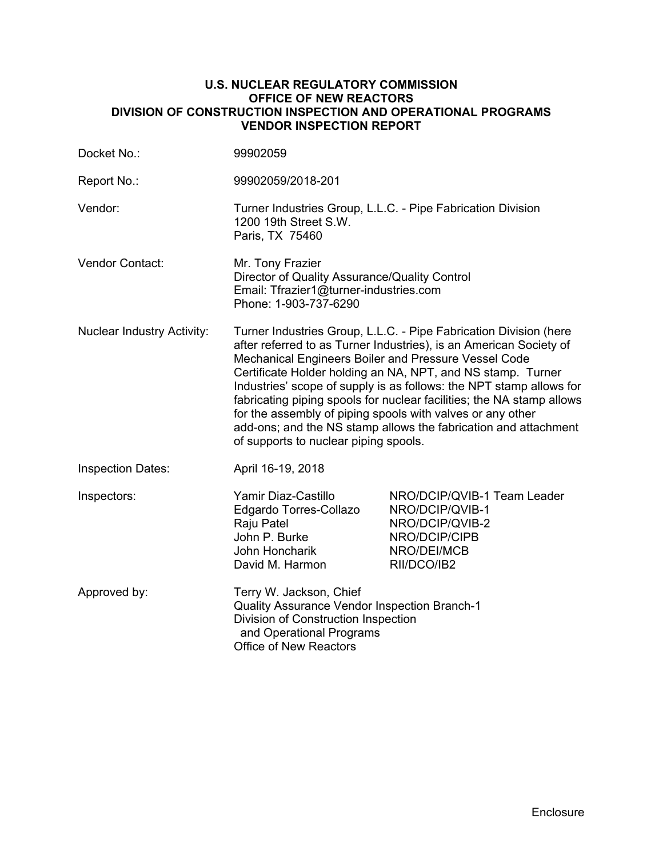#### **U.S. NUCLEAR REGULATORY COMMISSION OFFICE OF NEW REACTORS DIVISION OF CONSTRUCTION INSPECTION AND OPERATIONAL PROGRAMS VENDOR INSPECTION REPORT**

| Docket No.:                       | 99902059                                                                                                                                                                                                                                                                                                                                                                                                                                                                                                                                                                                 |                                                                                                                  |  |
|-----------------------------------|------------------------------------------------------------------------------------------------------------------------------------------------------------------------------------------------------------------------------------------------------------------------------------------------------------------------------------------------------------------------------------------------------------------------------------------------------------------------------------------------------------------------------------------------------------------------------------------|------------------------------------------------------------------------------------------------------------------|--|
| Report No.:                       | 99902059/2018-201                                                                                                                                                                                                                                                                                                                                                                                                                                                                                                                                                                        |                                                                                                                  |  |
| Vendor:                           | Turner Industries Group, L.L.C. - Pipe Fabrication Division<br>1200 19th Street S.W.<br>Paris, TX 75460                                                                                                                                                                                                                                                                                                                                                                                                                                                                                  |                                                                                                                  |  |
| Vendor Contact:                   | Mr. Tony Frazier<br>Director of Quality Assurance/Quality Control<br>Email: Tfrazier1@turner-industries.com<br>Phone: 1-903-737-6290                                                                                                                                                                                                                                                                                                                                                                                                                                                     |                                                                                                                  |  |
| <b>Nuclear Industry Activity:</b> | Turner Industries Group, L.L.C. - Pipe Fabrication Division (here<br>after referred to as Turner Industries), is an American Society of<br>Mechanical Engineers Boiler and Pressure Vessel Code<br>Certificate Holder holding an NA, NPT, and NS stamp. Turner<br>Industries' scope of supply is as follows: the NPT stamp allows for<br>fabricating piping spools for nuclear facilities; the NA stamp allows<br>for the assembly of piping spools with valves or any other<br>add-ons; and the NS stamp allows the fabrication and attachment<br>of supports to nuclear piping spools. |                                                                                                                  |  |
| <b>Inspection Dates:</b>          | April 16-19, 2018                                                                                                                                                                                                                                                                                                                                                                                                                                                                                                                                                                        |                                                                                                                  |  |
| Inspectors:                       | Yamir Diaz-Castillo<br>Edgardo Torres-Collazo<br>Raju Patel<br>John P. Burke<br>John Honcharik<br>David M. Harmon                                                                                                                                                                                                                                                                                                                                                                                                                                                                        | NRO/DCIP/QVIB-1 Team Leader<br>NRO/DCIP/QVIB-1<br>NRO/DCIP/QVIB-2<br>NRO/DCIP/CIPB<br>NRO/DEI/MCB<br>RII/DCO/IB2 |  |
| Approved by:                      | Terry W. Jackson, Chief<br><b>Quality Assurance Vendor Inspection Branch-1</b><br>Division of Construction Inspection<br>and Operational Programs<br><b>Office of New Reactors</b>                                                                                                                                                                                                                                                                                                                                                                                                       |                                                                                                                  |  |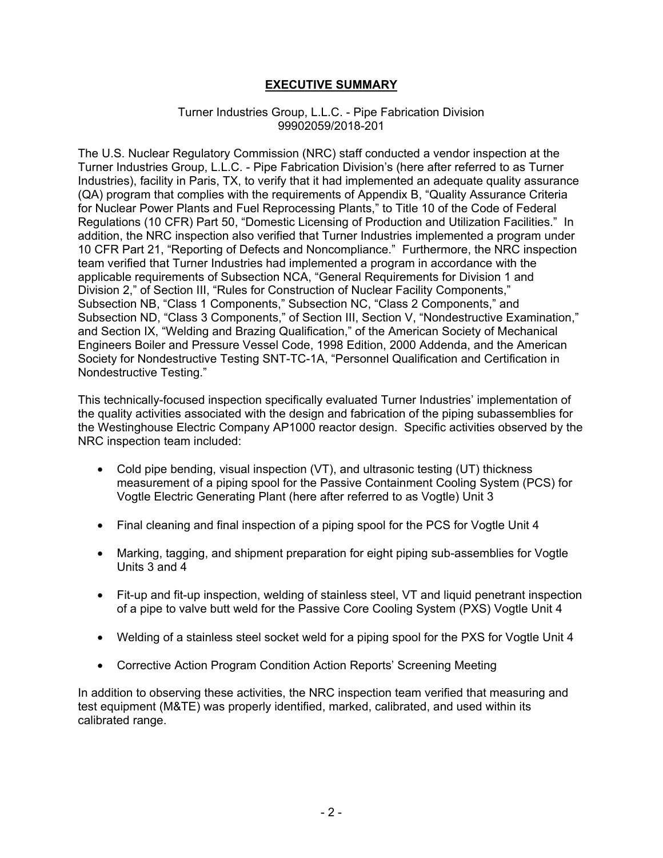## **EXECUTIVE SUMMARY**

#### Turner Industries Group, L.L.C. - Pipe Fabrication Division 99902059/2018-201

The U.S. Nuclear Regulatory Commission (NRC) staff conducted a vendor inspection at the Turner Industries Group, L.L.C. - Pipe Fabrication Division's (here after referred to as Turner Industries), facility in Paris, TX, to verify that it had implemented an adequate quality assurance (QA) program that complies with the requirements of Appendix B, "Quality Assurance Criteria for Nuclear Power Plants and Fuel Reprocessing Plants," to Title 10 of the Code of Federal Regulations (10 CFR) Part 50, "Domestic Licensing of Production and Utilization Facilities." In addition, the NRC inspection also verified that Turner Industries implemented a program under 10 CFR Part 21, "Reporting of Defects and Noncompliance." Furthermore, the NRC inspection team verified that Turner Industries had implemented a program in accordance with the applicable requirements of Subsection NCA, "General Requirements for Division 1 and Division 2," of Section III, "Rules for Construction of Nuclear Facility Components," Subsection NB, "Class 1 Components," Subsection NC, "Class 2 Components," and Subsection ND, "Class 3 Components," of Section III, Section V, "Nondestructive Examination," and Section IX, "Welding and Brazing Qualification," of the American Society of Mechanical Engineers Boiler and Pressure Vessel Code, 1998 Edition, 2000 Addenda, and the American Society for Nondestructive Testing SNT-TC-1A, "Personnel Qualification and Certification in Nondestructive Testing."

This technically-focused inspection specifically evaluated Turner Industries' implementation of the quality activities associated with the design and fabrication of the piping subassemblies for the Westinghouse Electric Company AP1000 reactor design. Specific activities observed by the NRC inspection team included:

- Cold pipe bending, visual inspection (VT), and ultrasonic testing (UT) thickness measurement of a piping spool for the Passive Containment Cooling System (PCS) for Vogtle Electric Generating Plant (here after referred to as Vogtle) Unit 3
- Final cleaning and final inspection of a piping spool for the PCS for Vogtle Unit 4
- Marking, tagging, and shipment preparation for eight piping sub-assemblies for Vogtle Units 3 and 4
- Fit-up and fit-up inspection, welding of stainless steel, VT and liquid penetrant inspection of a pipe to valve butt weld for the Passive Core Cooling System (PXS) Vogtle Unit 4
- Welding of a stainless steel socket weld for a piping spool for the PXS for Vogtle Unit 4
- Corrective Action Program Condition Action Reports' Screening Meeting

In addition to observing these activities, the NRC inspection team verified that measuring and test equipment (M&TE) was properly identified, marked, calibrated, and used within its calibrated range.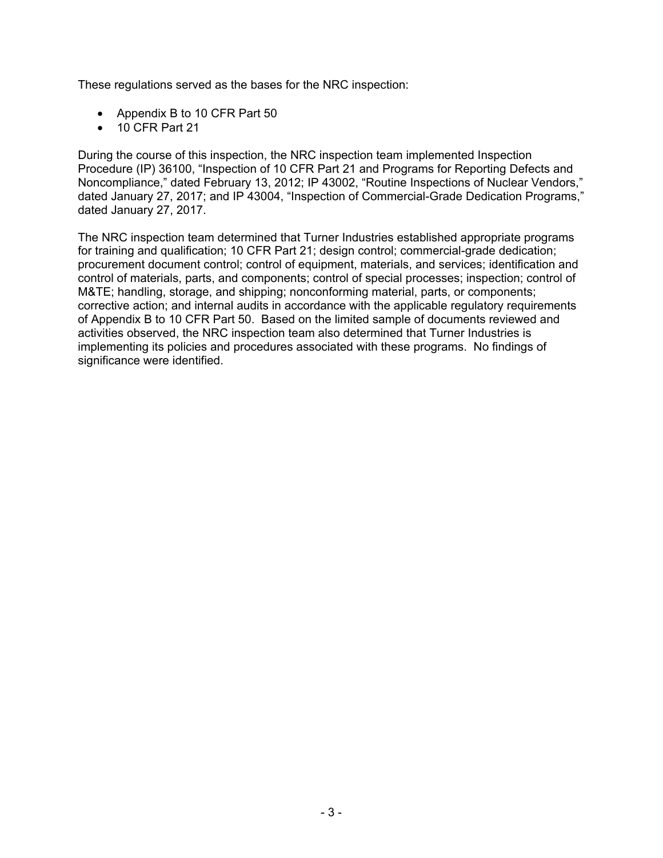These regulations served as the bases for the NRC inspection:

- Appendix B to 10 CFR Part 50
- 10 CFR Part 21

During the course of this inspection, the NRC inspection team implemented Inspection Procedure (IP) 36100, "Inspection of 10 CFR Part 21 and Programs for Reporting Defects and Noncompliance," dated February 13, 2012; IP 43002, "Routine Inspections of Nuclear Vendors," dated January 27, 2017; and IP 43004, "Inspection of Commercial-Grade Dedication Programs," dated January 27, 2017.

The NRC inspection team determined that Turner Industries established appropriate programs for training and qualification; 10 CFR Part 21; design control; commercial-grade dedication; procurement document control; control of equipment, materials, and services; identification and control of materials, parts, and components; control of special processes; inspection; control of M&TE; handling, storage, and shipping; nonconforming material, parts, or components; corrective action; and internal audits in accordance with the applicable regulatory requirements of Appendix B to 10 CFR Part 50. Based on the limited sample of documents reviewed and activities observed, the NRC inspection team also determined that Turner Industries is implementing its policies and procedures associated with these programs. No findings of significance were identified.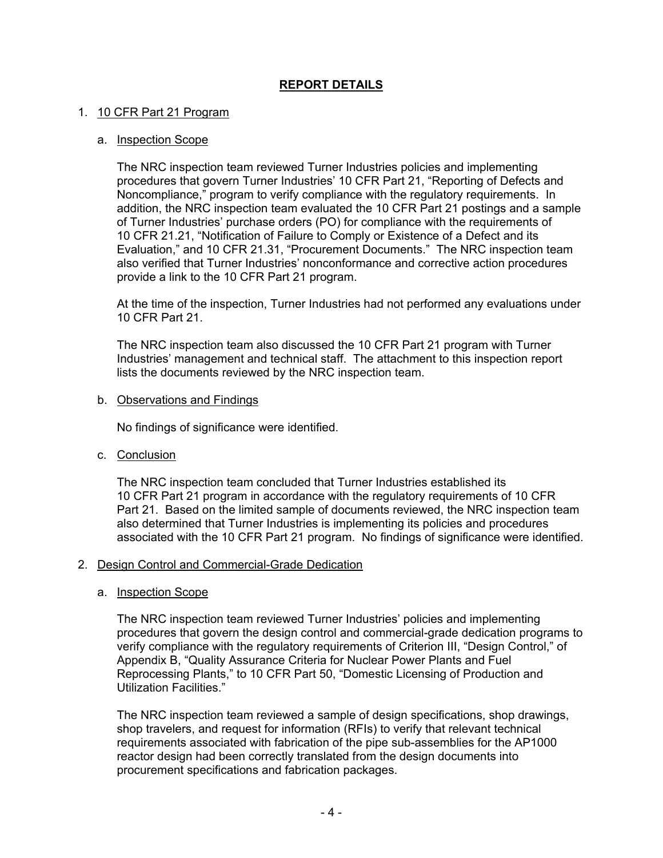## **REPORT DETAILS**

### 1. 10 CFR Part 21 Program

#### a. Inspection Scope

The NRC inspection team reviewed Turner Industries policies and implementing procedures that govern Turner Industries' 10 CFR Part 21, "Reporting of Defects and Noncompliance," program to verify compliance with the regulatory requirements. In addition, the NRC inspection team evaluated the 10 CFR Part 21 postings and a sample of Turner Industries' purchase orders (PO) for compliance with the requirements of 10 CFR 21.21, "Notification of Failure to Comply or Existence of a Defect and its Evaluation," and 10 CFR 21.31, "Procurement Documents." The NRC inspection team also verified that Turner Industries' nonconformance and corrective action procedures provide a link to the 10 CFR Part 21 program.

At the time of the inspection, Turner Industries had not performed any evaluations under 10 CFR Part 21.

The NRC inspection team also discussed the 10 CFR Part 21 program with Turner Industries' management and technical staff. The attachment to this inspection report lists the documents reviewed by the NRC inspection team.

b. Observations and Findings

No findings of significance were identified.

c. Conclusion

The NRC inspection team concluded that Turner Industries established its 10 CFR Part 21 program in accordance with the regulatory requirements of 10 CFR Part 21. Based on the limited sample of documents reviewed, the NRC inspection team also determined that Turner Industries is implementing its policies and procedures associated with the 10 CFR Part 21 program. No findings of significance were identified.

#### 2. Design Control and Commercial-Grade Dedication

#### a. Inspection Scope

The NRC inspection team reviewed Turner Industries' policies and implementing procedures that govern the design control and commercial-grade dedication programs to verify compliance with the regulatory requirements of Criterion III, "Design Control," of Appendix B, "Quality Assurance Criteria for Nuclear Power Plants and Fuel Reprocessing Plants," to 10 CFR Part 50, "Domestic Licensing of Production and Utilization Facilities."

The NRC inspection team reviewed a sample of design specifications, shop drawings, shop travelers, and request for information (RFIs) to verify that relevant technical requirements associated with fabrication of the pipe sub-assemblies for the AP1000 reactor design had been correctly translated from the design documents into procurement specifications and fabrication packages.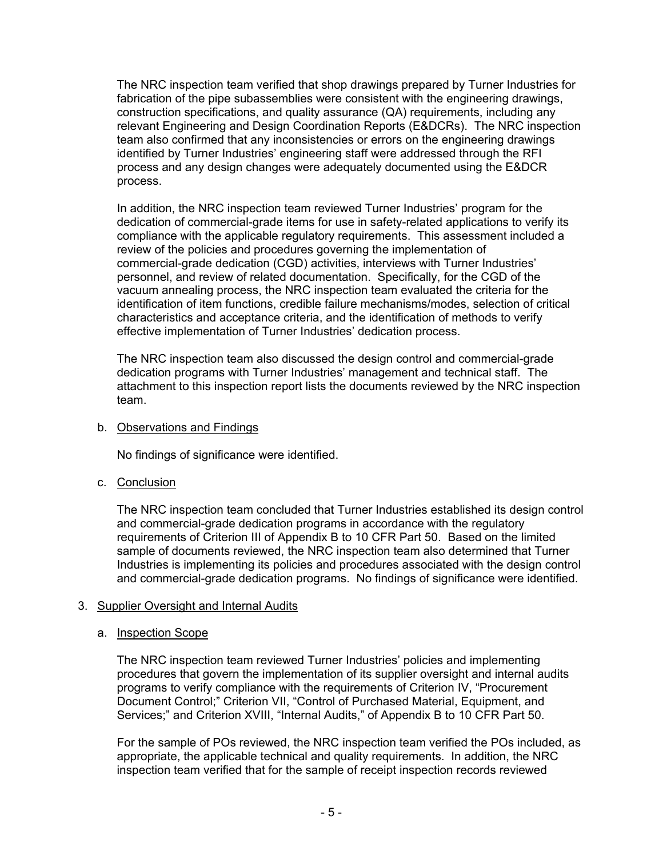The NRC inspection team verified that shop drawings prepared by Turner Industries for fabrication of the pipe subassemblies were consistent with the engineering drawings, construction specifications, and quality assurance (QA) requirements, including any relevant Engineering and Design Coordination Reports (E&DCRs). The NRC inspection team also confirmed that any inconsistencies or errors on the engineering drawings identified by Turner Industries' engineering staff were addressed through the RFI process and any design changes were adequately documented using the E&DCR process.

In addition, the NRC inspection team reviewed Turner Industries' program for the dedication of commercial-grade items for use in safety-related applications to verify its compliance with the applicable regulatory requirements. This assessment included a review of the policies and procedures governing the implementation of commercial-grade dedication (CGD) activities, interviews with Turner Industries' personnel, and review of related documentation. Specifically, for the CGD of the vacuum annealing process, the NRC inspection team evaluated the criteria for the identification of item functions, credible failure mechanisms/modes, selection of critical characteristics and acceptance criteria, and the identification of methods to verify effective implementation of Turner Industries' dedication process.

The NRC inspection team also discussed the design control and commercial-grade dedication programs with Turner Industries' management and technical staff. The attachment to this inspection report lists the documents reviewed by the NRC inspection team.

b. Observations and Findings

No findings of significance were identified.

c. Conclusion

The NRC inspection team concluded that Turner Industries established its design control and commercial-grade dedication programs in accordance with the regulatory requirements of Criterion III of Appendix B to 10 CFR Part 50. Based on the limited sample of documents reviewed, the NRC inspection team also determined that Turner Industries is implementing its policies and procedures associated with the design control and commercial-grade dedication programs. No findings of significance were identified.

### 3. Supplier Oversight and Internal Audits

#### a. Inspection Scope

The NRC inspection team reviewed Turner Industries' policies and implementing procedures that govern the implementation of its supplier oversight and internal audits programs to verify compliance with the requirements of Criterion IV, "Procurement Document Control;" Criterion VII, "Control of Purchased Material, Equipment, and Services;" and Criterion XVIII, "Internal Audits," of Appendix B to 10 CFR Part 50.

For the sample of POs reviewed, the NRC inspection team verified the POs included, as appropriate, the applicable technical and quality requirements. In addition, the NRC inspection team verified that for the sample of receipt inspection records reviewed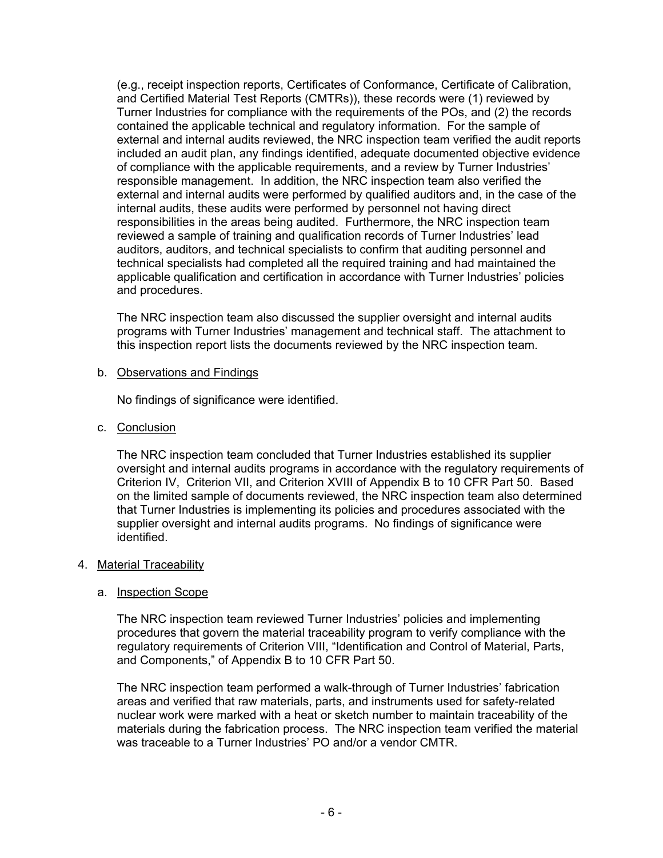(e.g., receipt inspection reports, Certificates of Conformance, Certificate of Calibration, and Certified Material Test Reports (CMTRs)), these records were (1) reviewed by Turner Industries for compliance with the requirements of the POs, and (2) the records contained the applicable technical and regulatory information. For the sample of external and internal audits reviewed, the NRC inspection team verified the audit reports included an audit plan, any findings identified, adequate documented objective evidence of compliance with the applicable requirements, and a review by Turner Industries' responsible management. In addition, the NRC inspection team also verified the external and internal audits were performed by qualified auditors and, in the case of the internal audits, these audits were performed by personnel not having direct responsibilities in the areas being audited. Furthermore, the NRC inspection team reviewed a sample of training and qualification records of Turner Industries' lead auditors, auditors, and technical specialists to confirm that auditing personnel and technical specialists had completed all the required training and had maintained the applicable qualification and certification in accordance with Turner Industries' policies and procedures.

The NRC inspection team also discussed the supplier oversight and internal audits programs with Turner Industries' management and technical staff. The attachment to this inspection report lists the documents reviewed by the NRC inspection team.

### b. Observations and Findings

No findings of significance were identified.

c. Conclusion

The NRC inspection team concluded that Turner Industries established its supplier oversight and internal audits programs in accordance with the regulatory requirements of Criterion IV, Criterion VII, and Criterion XVIII of Appendix B to 10 CFR Part 50. Based on the limited sample of documents reviewed, the NRC inspection team also determined that Turner Industries is implementing its policies and procedures associated with the supplier oversight and internal audits programs. No findings of significance were identified.

### 4. Material Traceability

#### a. Inspection Scope

The NRC inspection team reviewed Turner Industries' policies and implementing procedures that govern the material traceability program to verify compliance with the regulatory requirements of Criterion VIII, "Identification and Control of Material, Parts, and Components," of Appendix B to 10 CFR Part 50.

The NRC inspection team performed a walk-through of Turner Industries' fabrication areas and verified that raw materials, parts, and instruments used for safety-related nuclear work were marked with a heat or sketch number to maintain traceability of the materials during the fabrication process. The NRC inspection team verified the material was traceable to a Turner Industries' PO and/or a vendor CMTR.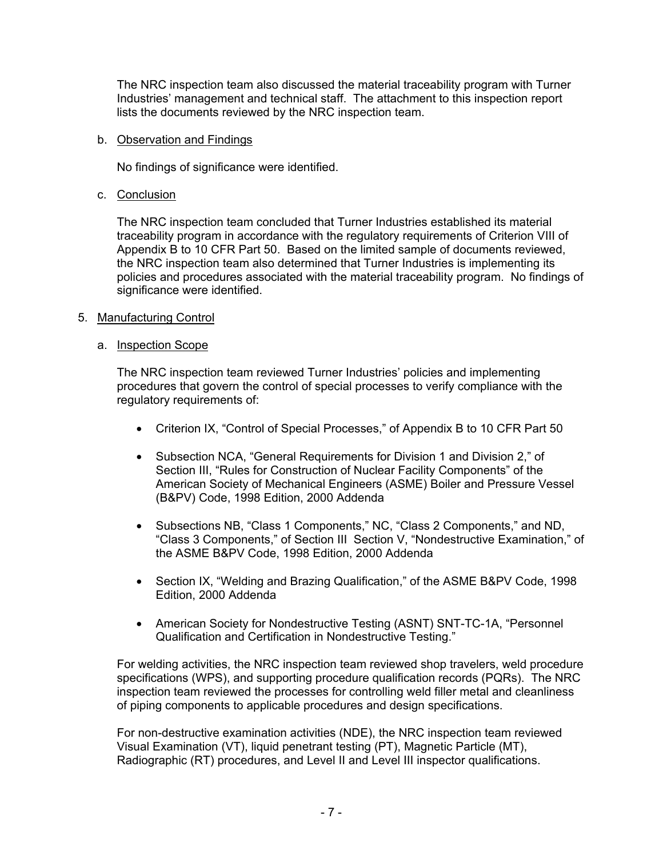The NRC inspection team also discussed the material traceability program with Turner Industries' management and technical staff. The attachment to this inspection report lists the documents reviewed by the NRC inspection team.

### b. Observation and Findings

No findings of significance were identified.

c. Conclusion

The NRC inspection team concluded that Turner Industries established its material traceability program in accordance with the regulatory requirements of Criterion VIII of Appendix B to 10 CFR Part 50. Based on the limited sample of documents reviewed, the NRC inspection team also determined that Turner Industries is implementing its policies and procedures associated with the material traceability program. No findings of significance were identified.

### 5. Manufacturing Control

### a. Inspection Scope

The NRC inspection team reviewed Turner Industries' policies and implementing procedures that govern the control of special processes to verify compliance with the regulatory requirements of:

- Criterion IX, "Control of Special Processes," of Appendix B to 10 CFR Part 50
- Subsection NCA, "General Requirements for Division 1 and Division 2," of Section III, "Rules for Construction of Nuclear Facility Components" of the American Society of Mechanical Engineers (ASME) Boiler and Pressure Vessel (B&PV) Code, 1998 Edition, 2000 Addenda
- Subsections NB, "Class 1 Components," NC, "Class 2 Components," and ND, "Class 3 Components," of Section III Section V, "Nondestructive Examination," of the ASME B&PV Code, 1998 Edition, 2000 Addenda
- Section IX, "Welding and Brazing Qualification," of the ASME B&PV Code, 1998 Edition, 2000 Addenda
- American Society for Nondestructive Testing (ASNT) SNT-TC-1A, "Personnel Qualification and Certification in Nondestructive Testing."

For welding activities, the NRC inspection team reviewed shop travelers, weld procedure specifications (WPS), and supporting procedure qualification records (PQRs). The NRC inspection team reviewed the processes for controlling weld filler metal and cleanliness of piping components to applicable procedures and design specifications.

For non-destructive examination activities (NDE), the NRC inspection team reviewed Visual Examination (VT), liquid penetrant testing (PT), Magnetic Particle (MT), Radiographic (RT) procedures, and Level II and Level III inspector qualifications.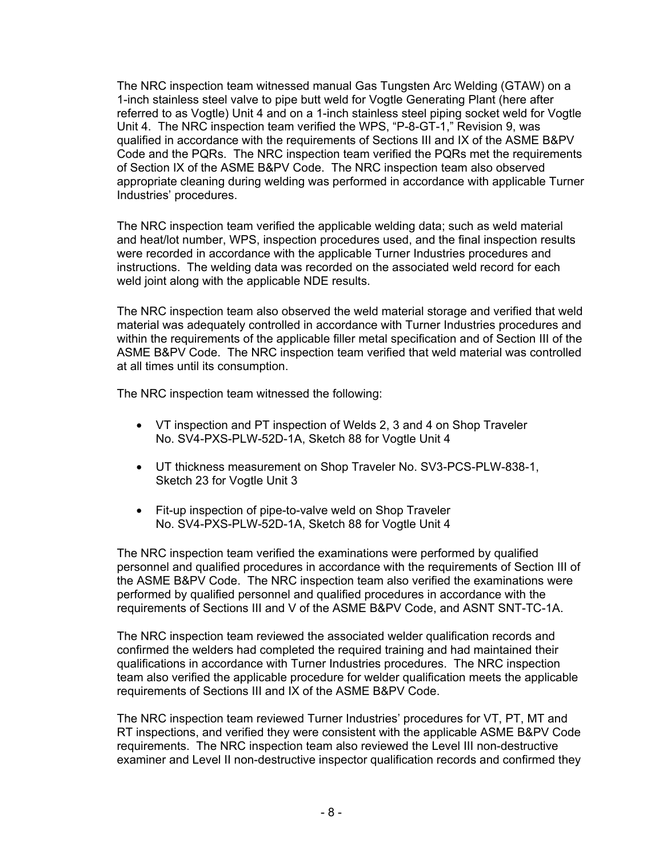The NRC inspection team witnessed manual Gas Tungsten Arc Welding (GTAW) on a 1-inch stainless steel valve to pipe butt weld for Vogtle Generating Plant (here after referred to as Vogtle) Unit 4 and on a 1-inch stainless steel piping socket weld for Vogtle Unit 4. The NRC inspection team verified the WPS, "P-8-GT-1," Revision 9, was qualified in accordance with the requirements of Sections III and IX of the ASME B&PV Code and the PQRs. The NRC inspection team verified the PQRs met the requirements of Section IX of the ASME B&PV Code. The NRC inspection team also observed appropriate cleaning during welding was performed in accordance with applicable Turner Industries' procedures.

The NRC inspection team verified the applicable welding data; such as weld material and heat/lot number, WPS, inspection procedures used, and the final inspection results were recorded in accordance with the applicable Turner Industries procedures and instructions. The welding data was recorded on the associated weld record for each weld joint along with the applicable NDE results.

The NRC inspection team also observed the weld material storage and verified that weld material was adequately controlled in accordance with Turner Industries procedures and within the requirements of the applicable filler metal specification and of Section III of the ASME B&PV Code. The NRC inspection team verified that weld material was controlled at all times until its consumption.

The NRC inspection team witnessed the following:

- VT inspection and PT inspection of Welds 2, 3 and 4 on Shop Traveler No. SV4-PXS-PLW-52D-1A, Sketch 88 for Vogtle Unit 4
- UT thickness measurement on Shop Traveler No. SV3-PCS-PLW-838-1, Sketch 23 for Vogtle Unit 3
- Fit-up inspection of pipe-to-valve weld on Shop Traveler No. SV4-PXS-PLW-52D-1A, Sketch 88 for Vogtle Unit 4

The NRC inspection team verified the examinations were performed by qualified personnel and qualified procedures in accordance with the requirements of Section III of the ASME B&PV Code. The NRC inspection team also verified the examinations were performed by qualified personnel and qualified procedures in accordance with the requirements of Sections III and V of the ASME B&PV Code, and ASNT SNT-TC-1A.

The NRC inspection team reviewed the associated welder qualification records and confirmed the welders had completed the required training and had maintained their qualifications in accordance with Turner Industries procedures. The NRC inspection team also verified the applicable procedure for welder qualification meets the applicable requirements of Sections III and IX of the ASME B&PV Code.

The NRC inspection team reviewed Turner Industries' procedures for VT, PT, MT and RT inspections, and verified they were consistent with the applicable ASME B&PV Code requirements. The NRC inspection team also reviewed the Level III non-destructive examiner and Level II non-destructive inspector qualification records and confirmed they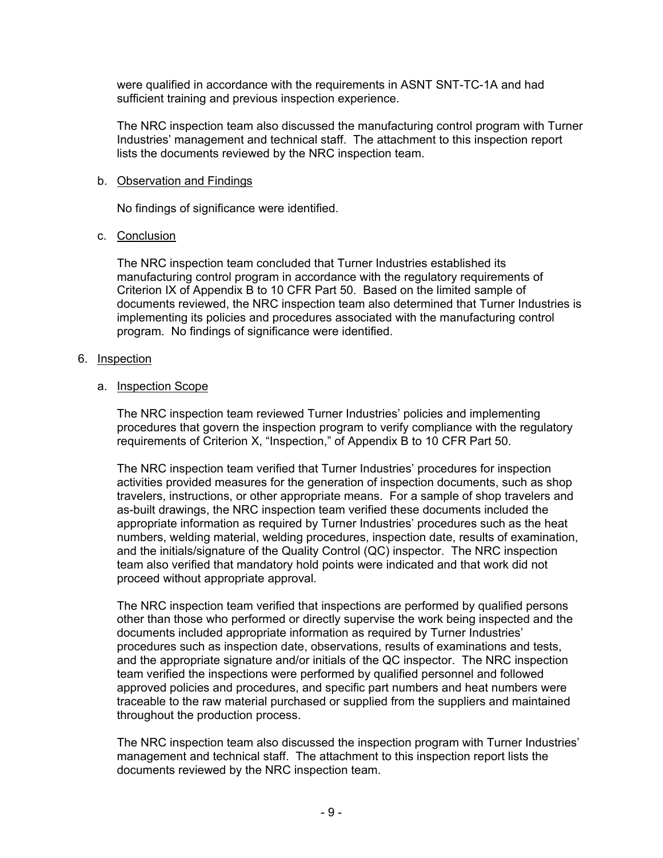were qualified in accordance with the requirements in ASNT SNT-TC-1A and had sufficient training and previous inspection experience.

The NRC inspection team also discussed the manufacturing control program with Turner Industries' management and technical staff. The attachment to this inspection report lists the documents reviewed by the NRC inspection team.

#### b. Observation and Findings

No findings of significance were identified.

#### c. Conclusion

The NRC inspection team concluded that Turner Industries established its manufacturing control program in accordance with the regulatory requirements of Criterion IX of Appendix B to 10 CFR Part 50. Based on the limited sample of documents reviewed, the NRC inspection team also determined that Turner Industries is implementing its policies and procedures associated with the manufacturing control program. No findings of significance were identified.

### 6. Inspection

#### a. **Inspection Scope**

The NRC inspection team reviewed Turner Industries' policies and implementing procedures that govern the inspection program to verify compliance with the regulatory requirements of Criterion X, "Inspection," of Appendix B to 10 CFR Part 50.

The NRC inspection team verified that Turner Industries' procedures for inspection activities provided measures for the generation of inspection documents, such as shop travelers, instructions, or other appropriate means. For a sample of shop travelers and as-built drawings, the NRC inspection team verified these documents included the appropriate information as required by Turner Industries' procedures such as the heat numbers, welding material, welding procedures, inspection date, results of examination, and the initials/signature of the Quality Control (QC) inspector. The NRC inspection team also verified that mandatory hold points were indicated and that work did not proceed without appropriate approval.

The NRC inspection team verified that inspections are performed by qualified persons other than those who performed or directly supervise the work being inspected and the documents included appropriate information as required by Turner Industries' procedures such as inspection date, observations, results of examinations and tests, and the appropriate signature and/or initials of the QC inspector. The NRC inspection team verified the inspections were performed by qualified personnel and followed approved policies and procedures, and specific part numbers and heat numbers were traceable to the raw material purchased or supplied from the suppliers and maintained throughout the production process.

The NRC inspection team also discussed the inspection program with Turner Industries' management and technical staff. The attachment to this inspection report lists the documents reviewed by the NRC inspection team.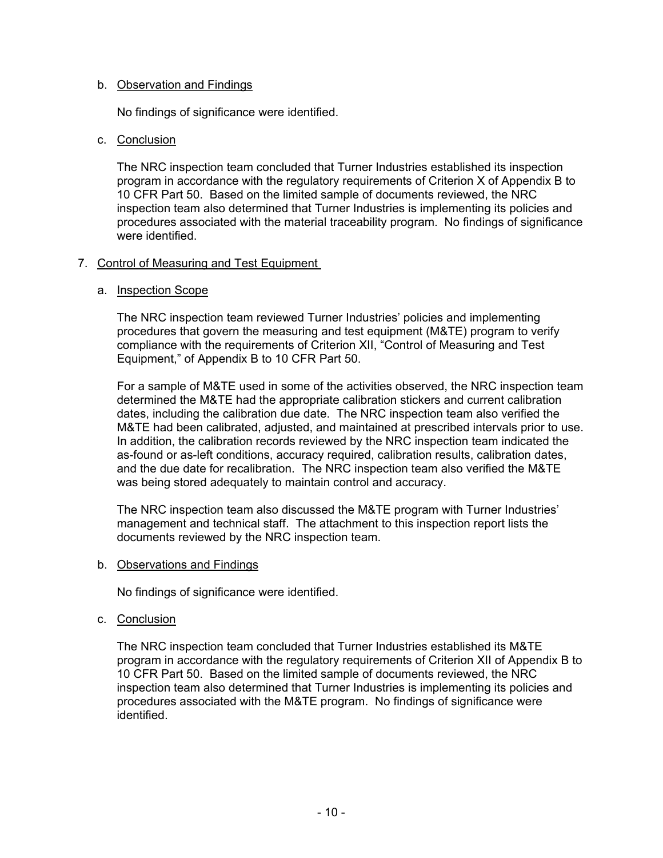### b. Observation and Findings

No findings of significance were identified.

### c. Conclusion

The NRC inspection team concluded that Turner Industries established its inspection program in accordance with the regulatory requirements of Criterion X of Appendix B to 10 CFR Part 50. Based on the limited sample of documents reviewed, the NRC inspection team also determined that Turner Industries is implementing its policies and procedures associated with the material traceability program. No findings of significance were identified.

### 7. Control of Measuring and Test Equipment

### a. Inspection Scope

The NRC inspection team reviewed Turner Industries' policies and implementing procedures that govern the measuring and test equipment (M&TE) program to verify compliance with the requirements of Criterion XII, "Control of Measuring and Test Equipment," of Appendix B to 10 CFR Part 50.

For a sample of M&TE used in some of the activities observed, the NRC inspection team determined the M&TE had the appropriate calibration stickers and current calibration dates, including the calibration due date. The NRC inspection team also verified the M&TE had been calibrated, adjusted, and maintained at prescribed intervals prior to use. In addition, the calibration records reviewed by the NRC inspection team indicated the as-found or as-left conditions, accuracy required, calibration results, calibration dates, and the due date for recalibration. The NRC inspection team also verified the M&TE was being stored adequately to maintain control and accuracy.

The NRC inspection team also discussed the M&TE program with Turner Industries' management and technical staff. The attachment to this inspection report lists the documents reviewed by the NRC inspection team.

#### b. Observations and Findings

No findings of significance were identified.

#### c. Conclusion

The NRC inspection team concluded that Turner Industries established its M&TE program in accordance with the regulatory requirements of Criterion XII of Appendix B to 10 CFR Part 50. Based on the limited sample of documents reviewed, the NRC inspection team also determined that Turner Industries is implementing its policies and procedures associated with the M&TE program. No findings of significance were identified.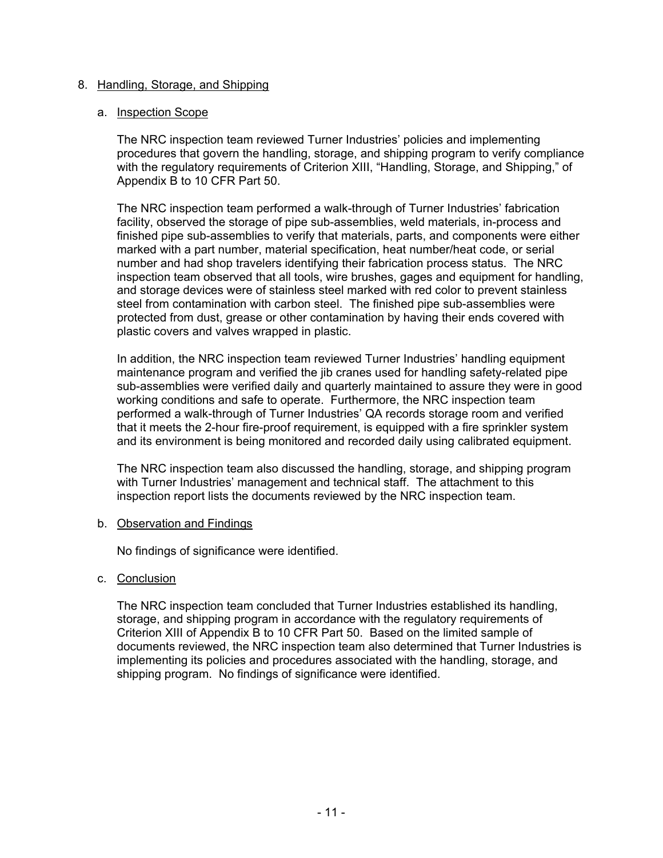### 8. Handling, Storage, and Shipping

#### a. Inspection Scope

The NRC inspection team reviewed Turner Industries' policies and implementing procedures that govern the handling, storage, and shipping program to verify compliance with the regulatory requirements of Criterion XIII, "Handling, Storage, and Shipping," of Appendix B to 10 CFR Part 50.

The NRC inspection team performed a walk-through of Turner Industries' fabrication facility, observed the storage of pipe sub-assemblies, weld materials, in-process and finished pipe sub-assemblies to verify that materials, parts, and components were either marked with a part number, material specification, heat number/heat code, or serial number and had shop travelers identifying their fabrication process status. The NRC inspection team observed that all tools, wire brushes, gages and equipment for handling, and storage devices were of stainless steel marked with red color to prevent stainless steel from contamination with carbon steel. The finished pipe sub-assemblies were protected from dust, grease or other contamination by having their ends covered with plastic covers and valves wrapped in plastic.

In addition, the NRC inspection team reviewed Turner Industries' handling equipment maintenance program and verified the jib cranes used for handling safety-related pipe sub-assemblies were verified daily and quarterly maintained to assure they were in good working conditions and safe to operate. Furthermore, the NRC inspection team performed a walk-through of Turner Industries' QA records storage room and verified that it meets the 2-hour fire-proof requirement, is equipped with a fire sprinkler system and its environment is being monitored and recorded daily using calibrated equipment.

The NRC inspection team also discussed the handling, storage, and shipping program with Turner Industries' management and technical staff. The attachment to this inspection report lists the documents reviewed by the NRC inspection team.

#### b. Observation and Findings

No findings of significance were identified.

### c. Conclusion

The NRC inspection team concluded that Turner Industries established its handling, storage, and shipping program in accordance with the regulatory requirements of Criterion XIII of Appendix B to 10 CFR Part 50. Based on the limited sample of documents reviewed, the NRC inspection team also determined that Turner Industries is implementing its policies and procedures associated with the handling, storage, and shipping program. No findings of significance were identified.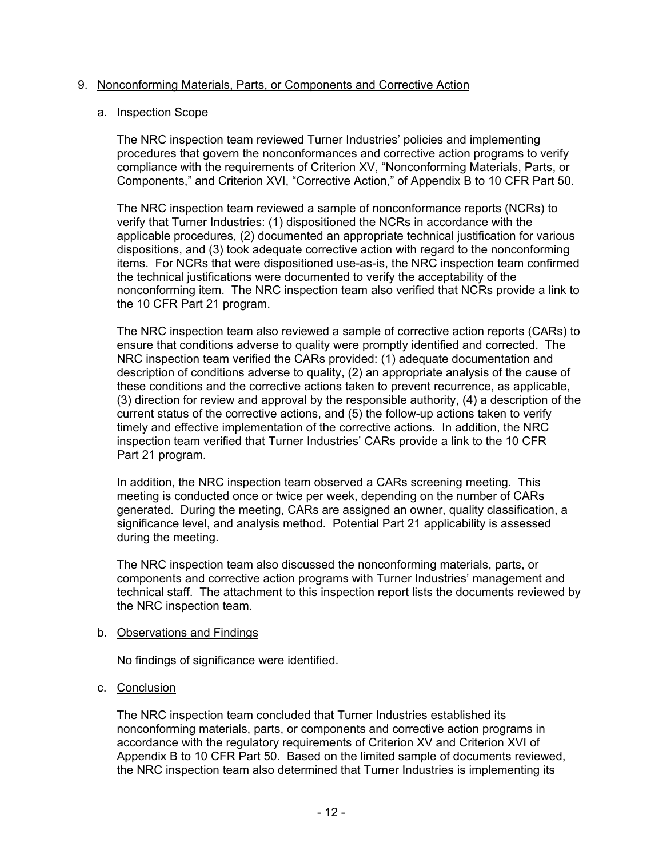### 9. Nonconforming Materials, Parts, or Components and Corrective Action

#### a. Inspection Scope

The NRC inspection team reviewed Turner Industries' policies and implementing procedures that govern the nonconformances and corrective action programs to verify compliance with the requirements of Criterion XV, "Nonconforming Materials, Parts, or Components," and Criterion XVI, "Corrective Action," of Appendix B to 10 CFR Part 50.

The NRC inspection team reviewed a sample of nonconformance reports (NCRs) to verify that Turner Industries: (1) dispositioned the NCRs in accordance with the applicable procedures, (2) documented an appropriate technical justification for various dispositions, and (3) took adequate corrective action with regard to the nonconforming items. For NCRs that were dispositioned use-as-is, the NRC inspection team confirmed the technical justifications were documented to verify the acceptability of the nonconforming item. The NRC inspection team also verified that NCRs provide a link to the 10 CFR Part 21 program.

The NRC inspection team also reviewed a sample of corrective action reports (CARs) to ensure that conditions adverse to quality were promptly identified and corrected. The NRC inspection team verified the CARs provided: (1) adequate documentation and description of conditions adverse to quality, (2) an appropriate analysis of the cause of these conditions and the corrective actions taken to prevent recurrence, as applicable, (3) direction for review and approval by the responsible authority, (4) a description of the current status of the corrective actions, and (5) the follow-up actions taken to verify timely and effective implementation of the corrective actions. In addition, the NRC inspection team verified that Turner Industries' CARs provide a link to the 10 CFR Part 21 program.

In addition, the NRC inspection team observed a CARs screening meeting. This meeting is conducted once or twice per week, depending on the number of CARs generated. During the meeting, CARs are assigned an owner, quality classification, a significance level, and analysis method. Potential Part 21 applicability is assessed during the meeting.

The NRC inspection team also discussed the nonconforming materials, parts, or components and corrective action programs with Turner Industries' management and technical staff. The attachment to this inspection report lists the documents reviewed by the NRC inspection team.

#### b. Observations and Findings

No findings of significance were identified.

### c. Conclusion

The NRC inspection team concluded that Turner Industries established its nonconforming materials, parts, or components and corrective action programs in accordance with the regulatory requirements of Criterion XV and Criterion XVI of Appendix B to 10 CFR Part 50. Based on the limited sample of documents reviewed, the NRC inspection team also determined that Turner Industries is implementing its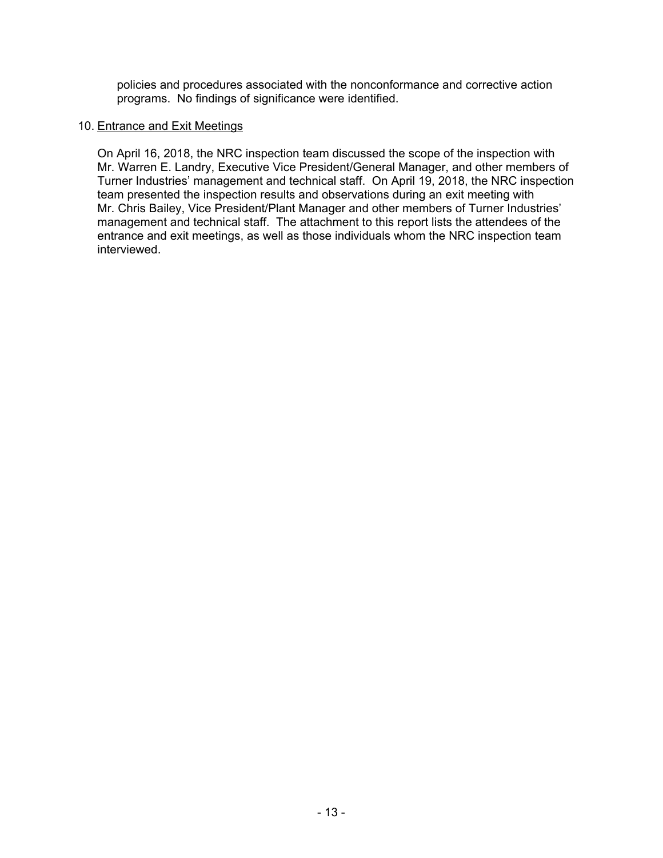policies and procedures associated with the nonconformance and corrective action programs. No findings of significance were identified.

### 10. Entrance and Exit Meetings

On April 16, 2018, the NRC inspection team discussed the scope of the inspection with Mr. Warren E. Landry, Executive Vice President/General Manager, and other members of Turner Industries' management and technical staff. On April 19, 2018, the NRC inspection team presented the inspection results and observations during an exit meeting with Mr. Chris Bailey, Vice President/Plant Manager and other members of Turner Industries' management and technical staff. The attachment to this report lists the attendees of the entrance and exit meetings, as well as those individuals whom the NRC inspection team interviewed.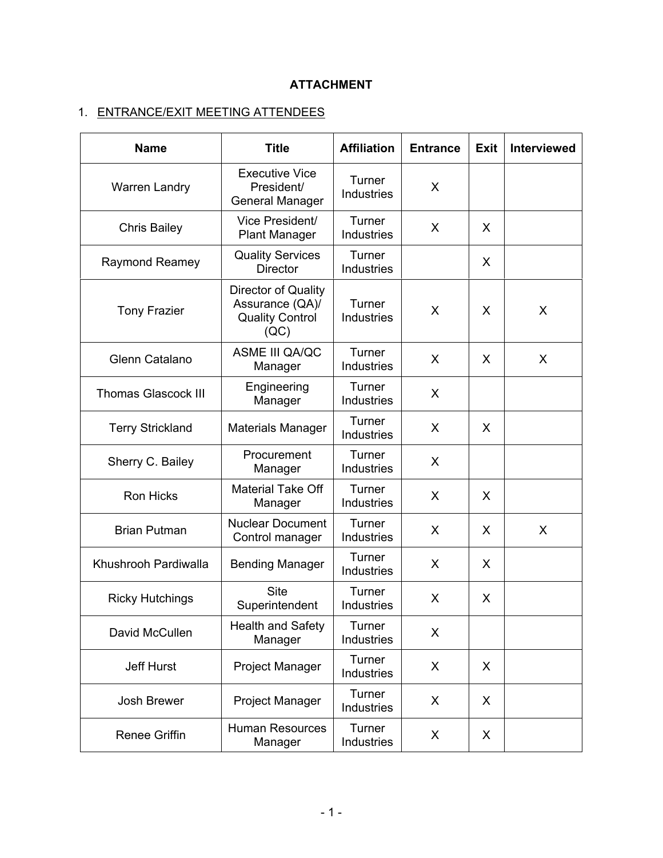## **ATTACHMENT**

# 1. ENTRANCE/EXIT MEETING ATTENDEES

| <b>Name</b>                | <b>Title</b>                                                             | <b>Affiliation</b>          | <b>Entrance</b> | Exit | <b>Interviewed</b> |
|----------------------------|--------------------------------------------------------------------------|-----------------------------|-----------------|------|--------------------|
| <b>Warren Landry</b>       | <b>Executive Vice</b><br>President/<br><b>General Manager</b>            | Turner<br><b>Industries</b> | X               |      |                    |
| <b>Chris Bailey</b>        | Vice President/<br><b>Plant Manager</b>                                  | Turner<br><b>Industries</b> | X               | X    |                    |
| <b>Raymond Reamey</b>      | <b>Quality Services</b><br><b>Director</b>                               | Turner<br>Industries        |                 | X    |                    |
| <b>Tony Frazier</b>        | Director of Quality<br>Assurance (QA)/<br><b>Quality Control</b><br>(QC) | Turner<br><b>Industries</b> | X               | X    | X                  |
| Glenn Catalano             | ASME III QA/QC<br>Manager                                                | Turner<br><b>Industries</b> | X               | X    | X                  |
| <b>Thomas Glascock III</b> | Engineering<br>Manager                                                   | Turner<br><b>Industries</b> | X               |      |                    |
| <b>Terry Strickland</b>    | <b>Materials Manager</b>                                                 | Turner<br>Industries        | X               | X    |                    |
| Sherry C. Bailey           | Procurement<br>Manager                                                   | Turner<br>Industries        | X               |      |                    |
| <b>Ron Hicks</b>           | <b>Material Take Off</b><br>Manager                                      | Turner<br>Industries        | X               | X    |                    |
| <b>Brian Putman</b>        | <b>Nuclear Document</b><br>Control manager                               | Turner<br><b>Industries</b> | X               | X    | X                  |
| Khushrooh Pardiwalla       | <b>Bending Manager</b>                                                   | Turner<br>Industries        | X               | X    |                    |
| <b>Ricky Hutchings</b>     | <b>Site</b><br>Superintendent                                            | Turner<br><b>Industries</b> | X               | X    |                    |
| David McCullen             | <b>Health and Safety</b><br>Manager                                      | Turner<br>Industries        | X               |      |                    |
| Jeff Hurst                 | Project Manager                                                          | Turner<br>Industries        | X               | X    |                    |
| Josh Brewer                | Project Manager                                                          | Turner<br>Industries        | X               | X    |                    |
| <b>Renee Griffin</b>       | <b>Human Resources</b><br>Manager                                        | Turner<br>Industries        | X               | X    |                    |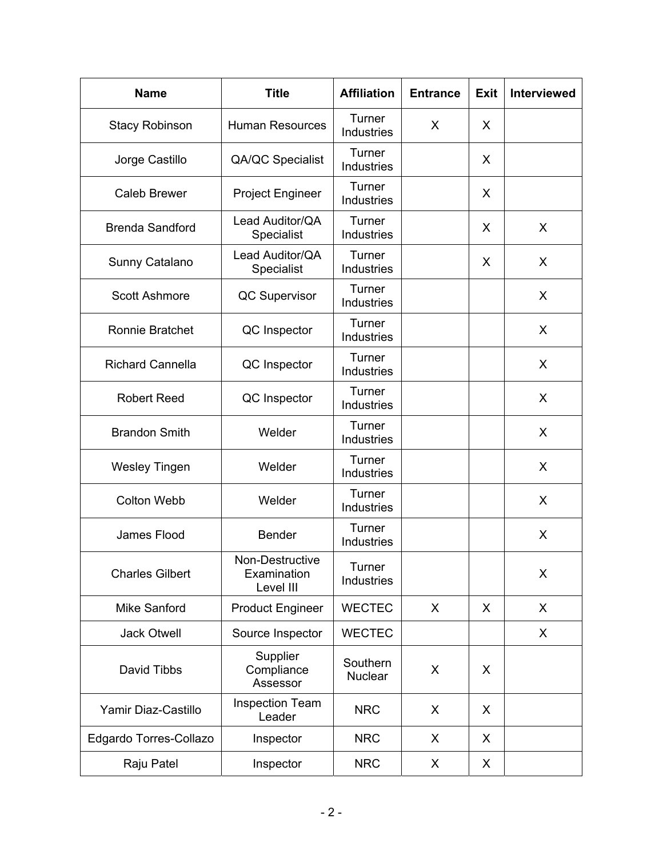| <b>Name</b>             | <b>Title</b>                                | <b>Affiliation</b>          | <b>Entrance</b> | <b>Exit</b> | <b>Interviewed</b> |
|-------------------------|---------------------------------------------|-----------------------------|-----------------|-------------|--------------------|
| <b>Stacy Robinson</b>   | <b>Human Resources</b>                      | Turner<br>Industries        | X               | X           |                    |
| Jorge Castillo          | QA/QC Specialist                            | Turner<br>Industries        |                 | X           |                    |
| <b>Caleb Brewer</b>     | <b>Project Engineer</b>                     | Turner<br>Industries        |                 | X           |                    |
| <b>Brenda Sandford</b>  | Lead Auditor/QA<br>Specialist               | Turner<br>Industries        |                 | X           | X                  |
| Sunny Catalano          | Lead Auditor/QA<br>Specialist               | Turner<br>Industries        |                 | X           | X                  |
| <b>Scott Ashmore</b>    | <b>QC Supervisor</b>                        | Turner<br>Industries        |                 |             | X                  |
| <b>Ronnie Bratchet</b>  | QC Inspector                                | Turner<br>Industries        |                 |             | X                  |
| <b>Richard Cannella</b> | QC Inspector                                | Turner<br><b>Industries</b> |                 |             | X                  |
| <b>Robert Reed</b>      | QC Inspector                                | Turner<br>Industries        |                 |             | X                  |
| <b>Brandon Smith</b>    | Welder                                      | Turner<br>Industries        |                 |             | X                  |
| <b>Wesley Tingen</b>    | Welder                                      | Turner<br>Industries        |                 |             | X                  |
| <b>Colton Webb</b>      | Welder                                      | Turner<br>Industries        |                 |             | X                  |
| James Flood             | <b>Bender</b>                               | Turner<br>Industries        |                 |             | X                  |
| <b>Charles Gilbert</b>  | Non-Destructive<br>Examination<br>Level III | Turner<br>Industries        |                 |             | X                  |
| <b>Mike Sanford</b>     | <b>Product Engineer</b>                     | <b>WECTEC</b>               | X               | X           | X                  |
| <b>Jack Otwell</b>      | Source Inspector                            | <b>WECTEC</b>               |                 |             | X                  |
| David Tibbs             | Supplier<br>Compliance<br>Assessor          | Southern<br><b>Nuclear</b>  | X               | X           |                    |
| Yamir Diaz-Castillo     | <b>Inspection Team</b><br>Leader            | <b>NRC</b>                  | X               | X           |                    |
| Edgardo Torres-Collazo  | Inspector                                   | <b>NRC</b>                  | X               | X           |                    |
| Raju Patel              | Inspector                                   | <b>NRC</b>                  | X               | X           |                    |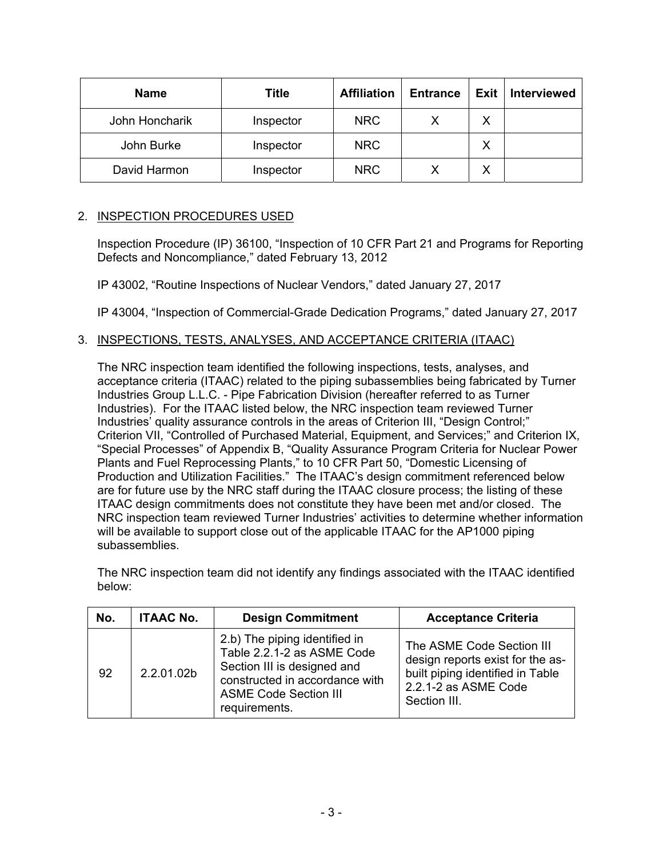| <b>Name</b>    | Title     | <b>Affiliation</b> | <b>Entrance</b> | Exit | <b>Interviewed</b> |
|----------------|-----------|--------------------|-----------------|------|--------------------|
| John Honcharik | Inspector | <b>NRC</b>         |                 | Χ    |                    |
| John Burke     | Inspector | <b>NRC</b>         |                 | Χ    |                    |
| David Harmon   | Inspector | <b>NRC</b>         |                 | Χ    |                    |

## 2. INSPECTION PROCEDURES USED

Inspection Procedure (IP) 36100, "Inspection of 10 CFR Part 21 and Programs for Reporting Defects and Noncompliance," dated February 13, 2012

IP 43002, "Routine Inspections of Nuclear Vendors," dated January 27, 2017

IP 43004, "Inspection of Commercial-Grade Dedication Programs," dated January 27, 2017

## 3. INSPECTIONS, TESTS, ANALYSES, AND ACCEPTANCE CRITERIA (ITAAC)

The NRC inspection team identified the following inspections, tests, analyses, and acceptance criteria (ITAAC) related to the piping subassemblies being fabricated by Turner Industries Group L.L.C. - Pipe Fabrication Division (hereafter referred to as Turner Industries). For the ITAAC listed below, the NRC inspection team reviewed Turner Industries' quality assurance controls in the areas of Criterion III, "Design Control;" Criterion VII, "Controlled of Purchased Material, Equipment, and Services;" and Criterion IX, "Special Processes" of Appendix B, "Quality Assurance Program Criteria for Nuclear Power Plants and Fuel Reprocessing Plants," to 10 CFR Part 50, "Domestic Licensing of Production and Utilization Facilities." The ITAAC's design commitment referenced below are for future use by the NRC staff during the ITAAC closure process; the listing of these ITAAC design commitments does not constitute they have been met and/or closed. The NRC inspection team reviewed Turner Industries' activities to determine whether information will be available to support close out of the applicable ITAAC for the AP1000 piping subassemblies.

The NRC inspection team did not identify any findings associated with the ITAAC identified below:

| No. | <b>ITAAC No.</b> | <b>Design Commitment</b>                                                                                                                                                      | <b>Acceptance Criteria</b>                                                                                                                |
|-----|------------------|-------------------------------------------------------------------------------------------------------------------------------------------------------------------------------|-------------------------------------------------------------------------------------------------------------------------------------------|
| 92  | 2.2.01.02b       | 2.b) The piping identified in<br>Table 2.2.1-2 as ASME Code<br>Section III is designed and<br>constructed in accordance with<br><b>ASME Code Section III</b><br>requirements. | The ASME Code Section III<br>design reports exist for the as-<br>built piping identified in Table<br>2.2.1-2 as ASME Code<br>Section III. |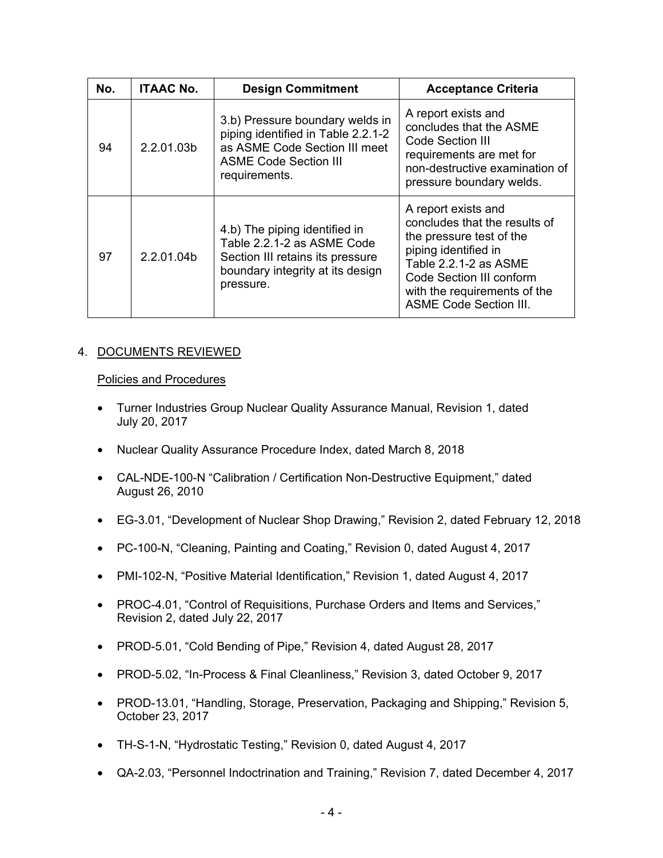| No. | <b>ITAAC No.</b> | <b>Design Commitment</b>                                                                                                                                | <b>Acceptance Criteria</b>                                                                                                                                                                                                     |
|-----|------------------|---------------------------------------------------------------------------------------------------------------------------------------------------------|--------------------------------------------------------------------------------------------------------------------------------------------------------------------------------------------------------------------------------|
| 94  | 2.2.01.03b       | 3.b) Pressure boundary welds in<br>piping identified in Table 2.2.1-2<br>as ASME Code Section III meet<br><b>ASME Code Section III</b><br>requirements. | A report exists and<br>concludes that the ASME<br>Code Section III<br>requirements are met for<br>non-destructive examination of<br>pressure boundary welds.                                                                   |
| 97  | 2.2.01.04b       | 4.b) The piping identified in<br>Table 2.2.1-2 as ASME Code<br>Section III retains its pressure<br>boundary integrity at its design<br>pressure.        | A report exists and<br>concludes that the results of<br>the pressure test of the<br>piping identified in<br>Table 2.2.1-2 as ASME<br>Code Section III conform<br>with the requirements of the<br><b>ASME Code Section III.</b> |

## 4. DOCUMENTS REVIEWED

## Policies and Procedures

- Turner Industries Group Nuclear Quality Assurance Manual, Revision 1, dated July 20, 2017
- Nuclear Quality Assurance Procedure Index, dated March 8, 2018
- CAL-NDE-100-N "Calibration / Certification Non-Destructive Equipment," dated August 26, 2010
- EG-3.01, "Development of Nuclear Shop Drawing," Revision 2, dated February 12, 2018
- PC-100-N, "Cleaning, Painting and Coating," Revision 0, dated August 4, 2017
- PMI-102-N, "Positive Material Identification," Revision 1, dated August 4, 2017
- PROC-4.01, "Control of Requisitions, Purchase Orders and Items and Services," Revision 2, dated July 22, 2017
- PROD-5.01, "Cold Bending of Pipe," Revision 4, dated August 28, 2017
- PROD-5.02, "In-Process & Final Cleanliness," Revision 3, dated October 9, 2017
- PROD-13.01, "Handling, Storage, Preservation, Packaging and Shipping," Revision 5, October 23, 2017
- TH-S-1-N, "Hydrostatic Testing," Revision 0, dated August 4, 2017
- QA-2.03, "Personnel Indoctrination and Training," Revision 7, dated December 4, 2017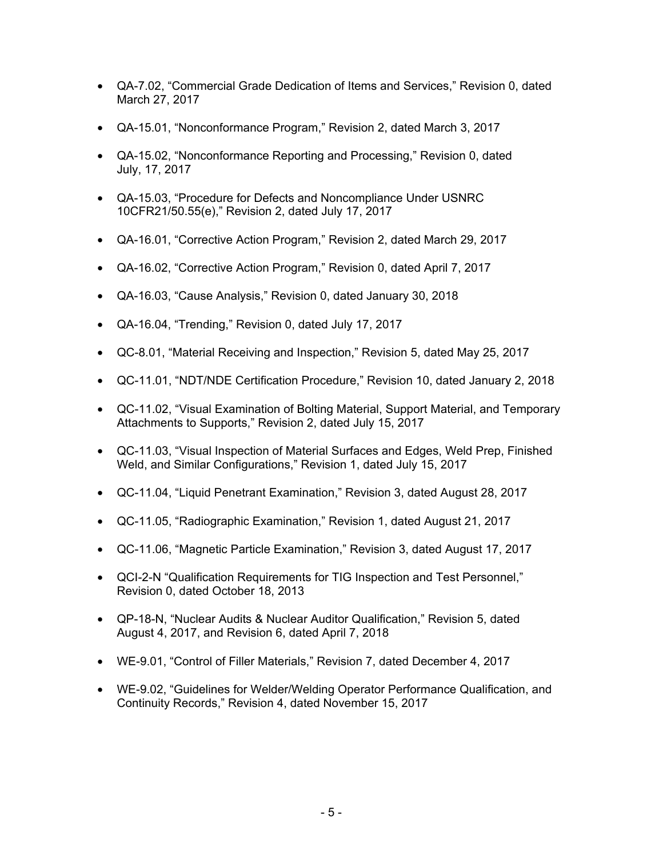- QA-7.02, "Commercial Grade Dedication of Items and Services," Revision 0, dated March 27, 2017
- QA-15.01, "Nonconformance Program," Revision 2, dated March 3, 2017
- QA-15.02, "Nonconformance Reporting and Processing," Revision 0, dated July, 17, 2017
- QA-15.03, "Procedure for Defects and Noncompliance Under USNRC 10CFR21/50.55(e)," Revision 2, dated July 17, 2017
- QA-16.01, "Corrective Action Program," Revision 2, dated March 29, 2017
- QA-16.02, "Corrective Action Program," Revision 0, dated April 7, 2017
- QA-16.03, "Cause Analysis," Revision 0, dated January 30, 2018
- QA-16.04, "Trending," Revision 0, dated July 17, 2017
- QC-8.01, "Material Receiving and Inspection," Revision 5, dated May 25, 2017
- QC-11.01, "NDT/NDE Certification Procedure," Revision 10, dated January 2, 2018
- QC-11.02, "Visual Examination of Bolting Material, Support Material, and Temporary Attachments to Supports," Revision 2, dated July 15, 2017
- QC-11.03, "Visual Inspection of Material Surfaces and Edges, Weld Prep, Finished Weld, and Similar Configurations," Revision 1, dated July 15, 2017
- QC-11.04, "Liquid Penetrant Examination," Revision 3, dated August 28, 2017
- QC-11.05, "Radiographic Examination," Revision 1, dated August 21, 2017
- QC-11.06, "Magnetic Particle Examination," Revision 3, dated August 17, 2017
- QCI-2-N "Qualification Requirements for TIG Inspection and Test Personnel," Revision 0, dated October 18, 2013
- QP-18-N, "Nuclear Audits & Nuclear Auditor Qualification," Revision 5, dated August 4, 2017, and Revision 6, dated April 7, 2018
- WE-9.01, "Control of Filler Materials," Revision 7, dated December 4, 2017
- WE-9.02, "Guidelines for Welder/Welding Operator Performance Qualification, and Continuity Records," Revision 4, dated November 15, 2017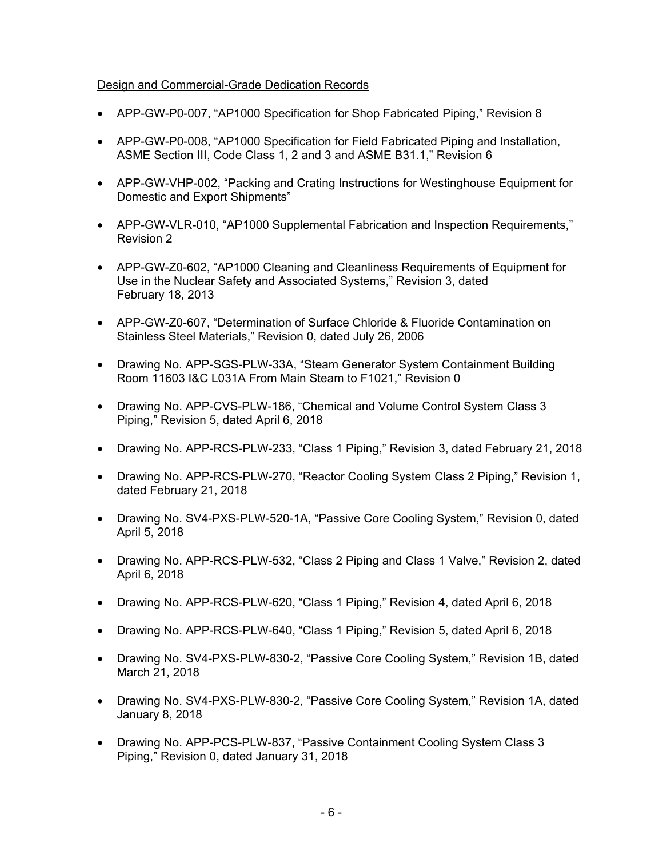## Design and Commercial-Grade Dedication Records

- APP-GW-P0-007, "AP1000 Specification for Shop Fabricated Piping," Revision 8
- APP-GW-P0-008, "AP1000 Specification for Field Fabricated Piping and Installation, ASME Section III, Code Class 1, 2 and 3 and ASME B31.1," Revision 6
- APP-GW-VHP-002, "Packing and Crating Instructions for Westinghouse Equipment for Domestic and Export Shipments"
- APP-GW-VLR-010, "AP1000 Supplemental Fabrication and Inspection Requirements," Revision 2
- APP-GW-Z0-602, "AP1000 Cleaning and Cleanliness Requirements of Equipment for Use in the Nuclear Safety and Associated Systems," Revision 3, dated February 18, 2013
- APP-GW-Z0-607, "Determination of Surface Chloride & Fluoride Contamination on Stainless Steel Materials," Revision 0, dated July 26, 2006
- Drawing No. APP-SGS-PLW-33A, "Steam Generator System Containment Building Room 11603 I&C L031A From Main Steam to F1021," Revision 0
- Drawing No. APP-CVS-PLW-186, "Chemical and Volume Control System Class 3 Piping," Revision 5, dated April 6, 2018
- Drawing No. APP-RCS-PLW-233, "Class 1 Piping," Revision 3, dated February 21, 2018
- Drawing No. APP-RCS-PLW-270, "Reactor Cooling System Class 2 Piping," Revision 1, dated February 21, 2018
- Drawing No. SV4-PXS-PLW-520-1A, "Passive Core Cooling System," Revision 0, dated April 5, 2018
- Drawing No. APP-RCS-PLW-532, "Class 2 Piping and Class 1 Valve," Revision 2, dated April 6, 2018
- Drawing No. APP-RCS-PLW-620, "Class 1 Piping," Revision 4, dated April 6, 2018
- Drawing No. APP-RCS-PLW-640, "Class 1 Piping," Revision 5, dated April 6, 2018
- Drawing No. SV4-PXS-PLW-830-2, "Passive Core Cooling System," Revision 1B, dated March 21, 2018
- Drawing No. SV4-PXS-PLW-830-2, "Passive Core Cooling System," Revision 1A, dated January 8, 2018
- Drawing No. APP-PCS-PLW-837, "Passive Containment Cooling System Class 3 Piping," Revision 0, dated January 31, 2018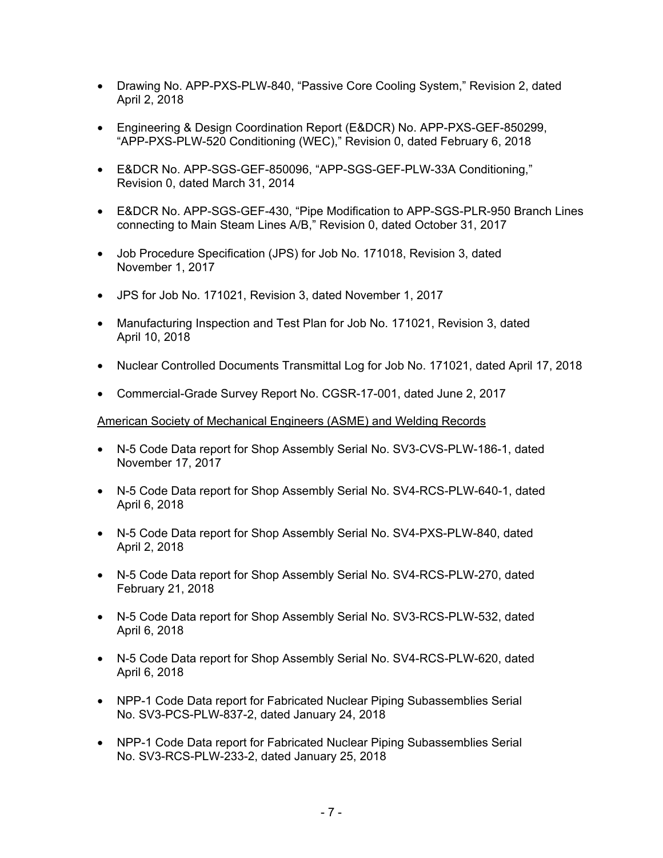- Drawing No. APP-PXS-PLW-840, "Passive Core Cooling System," Revision 2, dated April 2, 2018
- Engineering & Design Coordination Report (E&DCR) No. APP-PXS-GEF-850299, "APP-PXS-PLW-520 Conditioning (WEC)," Revision 0, dated February 6, 2018
- E&DCR No. APP-SGS-GEF-850096, "APP-SGS-GEF-PLW-33A Conditioning," Revision 0, dated March 31, 2014
- E&DCR No. APP-SGS-GEF-430, "Pipe Modification to APP-SGS-PLR-950 Branch Lines connecting to Main Steam Lines A/B," Revision 0, dated October 31, 2017
- Job Procedure Specification (JPS) for Job No. 171018, Revision 3, dated November 1, 2017
- JPS for Job No. 171021, Revision 3, dated November 1, 2017
- Manufacturing Inspection and Test Plan for Job No. 171021, Revision 3, dated April 10, 2018
- Nuclear Controlled Documents Transmittal Log for Job No. 171021, dated April 17, 2018
- Commercial-Grade Survey Report No. CGSR-17-001, dated June 2, 2017

#### American Society of Mechanical Engineers (ASME) and Welding Records

- N-5 Code Data report for Shop Assembly Serial No. SV3-CVS-PLW-186-1, dated November 17, 2017
- N-5 Code Data report for Shop Assembly Serial No. SV4-RCS-PLW-640-1, dated April 6, 2018
- N-5 Code Data report for Shop Assembly Serial No. SV4-PXS-PLW-840, dated April 2, 2018
- N-5 Code Data report for Shop Assembly Serial No. SV4-RCS-PLW-270, dated February 21, 2018
- N-5 Code Data report for Shop Assembly Serial No. SV3-RCS-PLW-532, dated April 6, 2018
- N-5 Code Data report for Shop Assembly Serial No. SV4-RCS-PLW-620, dated April 6, 2018
- NPP-1 Code Data report for Fabricated Nuclear Piping Subassemblies Serial No. SV3-PCS-PLW-837-2, dated January 24, 2018
- NPP-1 Code Data report for Fabricated Nuclear Piping Subassemblies Serial No. SV3-RCS-PLW-233-2, dated January 25, 2018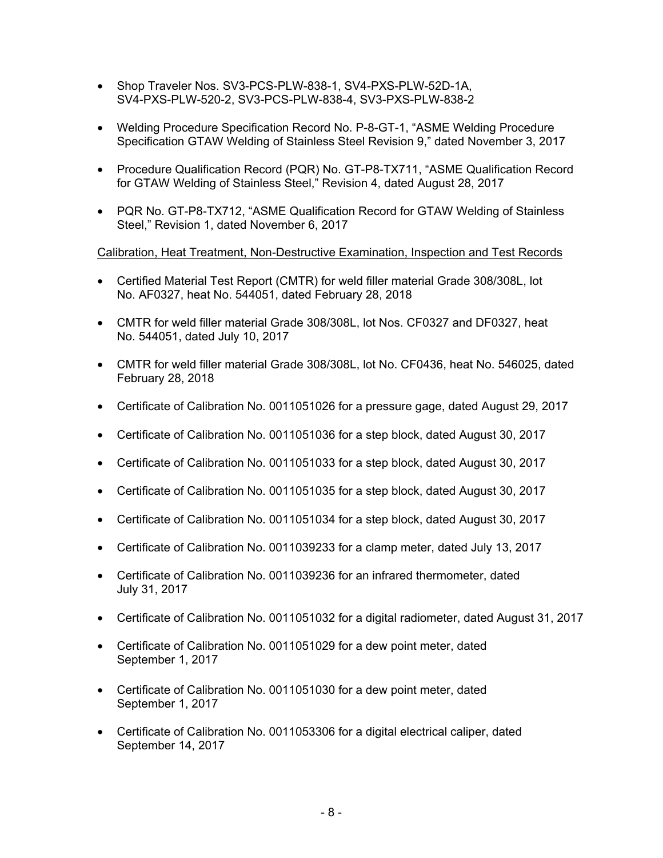- Shop Traveler Nos. SV3-PCS-PLW-838-1, SV4-PXS-PLW-52D-1A, SV4-PXS-PLW-520-2, SV3-PCS-PLW-838-4, SV3-PXS-PLW-838-2
- Welding Procedure Specification Record No. P-8-GT-1, "ASME Welding Procedure Specification GTAW Welding of Stainless Steel Revision 9," dated November 3, 2017
- Procedure Qualification Record (PQR) No. GT-P8-TX711, "ASME Qualification Record for GTAW Welding of Stainless Steel," Revision 4, dated August 28, 2017
- PQR No. GT-P8-TX712, "ASME Qualification Record for GTAW Welding of Stainless Steel," Revision 1, dated November 6, 2017

Calibration, Heat Treatment, Non-Destructive Examination, Inspection and Test Records

- Certified Material Test Report (CMTR) for weld filler material Grade 308/308L, lot No. AF0327, heat No. 544051, dated February 28, 2018
- CMTR for weld filler material Grade 308/308L, lot Nos. CF0327 and DF0327, heat No. 544051, dated July 10, 2017
- CMTR for weld filler material Grade 308/308L, lot No. CF0436, heat No. 546025, dated February 28, 2018
- Certificate of Calibration No. 0011051026 for a pressure gage, dated August 29, 2017
- Certificate of Calibration No. 0011051036 for a step block, dated August 30, 2017
- Certificate of Calibration No. 0011051033 for a step block, dated August 30, 2017
- Certificate of Calibration No. 0011051035 for a step block, dated August 30, 2017
- Certificate of Calibration No. 0011051034 for a step block, dated August 30, 2017
- Certificate of Calibration No. 0011039233 for a clamp meter, dated July 13, 2017
- Certificate of Calibration No. 0011039236 for an infrared thermometer, dated July 31, 2017
- Certificate of Calibration No. 0011051032 for a digital radiometer, dated August 31, 2017
- Certificate of Calibration No. 0011051029 for a dew point meter, dated September 1, 2017
- Certificate of Calibration No. 0011051030 for a dew point meter, dated September 1, 2017
- Certificate of Calibration No. 0011053306 for a digital electrical caliper, dated September 14, 2017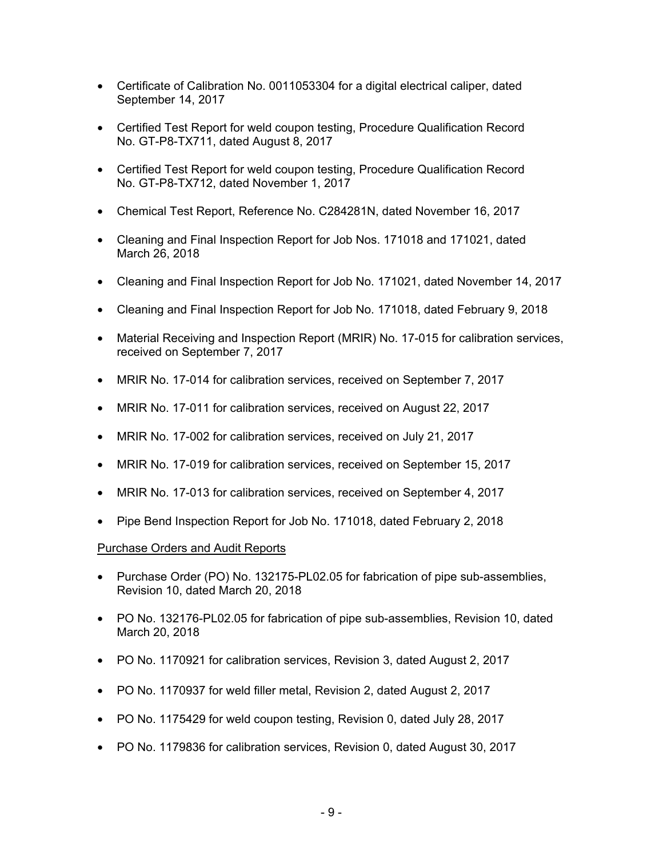- Certificate of Calibration No. 0011053304 for a digital electrical caliper, dated September 14, 2017
- Certified Test Report for weld coupon testing, Procedure Qualification Record No. GT-P8-TX711, dated August 8, 2017
- Certified Test Report for weld coupon testing, Procedure Qualification Record No. GT-P8-TX712, dated November 1, 2017
- Chemical Test Report, Reference No. C284281N, dated November 16, 2017
- Cleaning and Final Inspection Report for Job Nos. 171018 and 171021, dated March 26, 2018
- Cleaning and Final Inspection Report for Job No. 171021, dated November 14, 2017
- Cleaning and Final Inspection Report for Job No. 171018, dated February 9, 2018
- Material Receiving and Inspection Report (MRIR) No. 17-015 for calibration services, received on September 7, 2017
- MRIR No. 17-014 for calibration services, received on September 7, 2017
- MRIR No. 17-011 for calibration services, received on August 22, 2017
- MRIR No. 17-002 for calibration services, received on July 21, 2017
- MRIR No. 17-019 for calibration services, received on September 15, 2017
- MRIR No. 17-013 for calibration services, received on September 4, 2017
- Pipe Bend Inspection Report for Job No. 171018, dated February 2, 2018

## Purchase Orders and Audit Reports

- Purchase Order (PO) No. 132175-PL02.05 for fabrication of pipe sub-assemblies, Revision 10, dated March 20, 2018
- PO No. 132176-PL02.05 for fabrication of pipe sub-assemblies, Revision 10, dated March 20, 2018
- PO No. 1170921 for calibration services, Revision 3, dated August 2, 2017
- PO No. 1170937 for weld filler metal, Revision 2, dated August 2, 2017
- PO No. 1175429 for weld coupon testing, Revision 0, dated July 28, 2017
- PO No. 1179836 for calibration services, Revision 0, dated August 30, 2017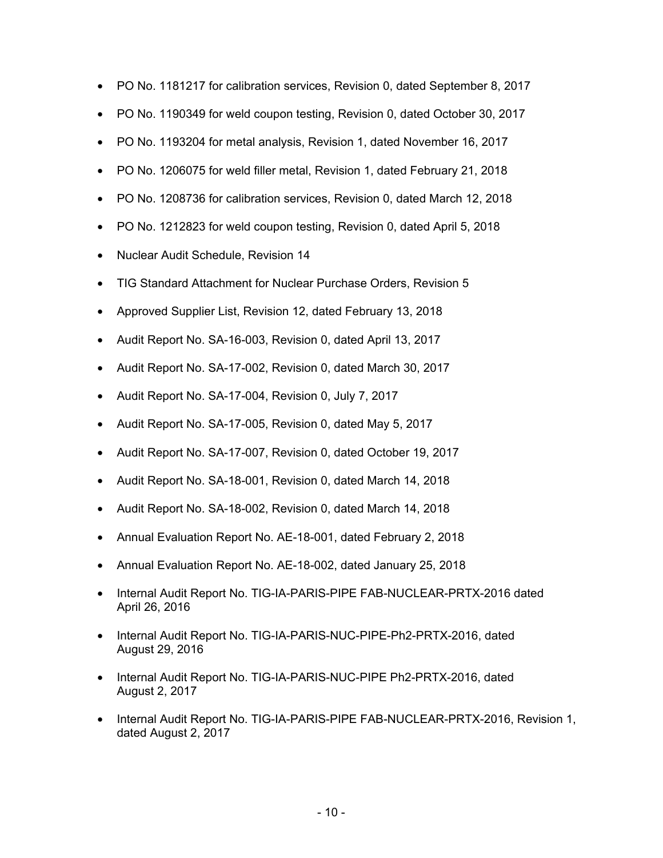- PO No. 1181217 for calibration services, Revision 0, dated September 8, 2017
- PO No. 1190349 for weld coupon testing, Revision 0, dated October 30, 2017
- PO No. 1193204 for metal analysis, Revision 1, dated November 16, 2017
- PO No. 1206075 for weld filler metal, Revision 1, dated February 21, 2018
- PO No. 1208736 for calibration services, Revision 0, dated March 12, 2018
- PO No. 1212823 for weld coupon testing, Revision 0, dated April 5, 2018
- Nuclear Audit Schedule, Revision 14
- TIG Standard Attachment for Nuclear Purchase Orders, Revision 5
- Approved Supplier List, Revision 12, dated February 13, 2018
- Audit Report No. SA-16-003, Revision 0, dated April 13, 2017
- Audit Report No. SA-17-002, Revision 0, dated March 30, 2017
- Audit Report No. SA-17-004, Revision 0, July 7, 2017
- Audit Report No. SA-17-005, Revision 0, dated May 5, 2017
- Audit Report No. SA-17-007, Revision 0, dated October 19, 2017
- Audit Report No. SA-18-001, Revision 0, dated March 14, 2018
- Audit Report No. SA-18-002, Revision 0, dated March 14, 2018
- Annual Evaluation Report No. AE-18-001, dated February 2, 2018
- Annual Evaluation Report No. AE-18-002, dated January 25, 2018
- Internal Audit Report No. TIG-IA-PARIS-PIPE FAB-NUCLEAR-PRTX-2016 dated April 26, 2016
- Internal Audit Report No. TIG-IA-PARIS-NUC-PIPE-Ph2-PRTX-2016, dated August 29, 2016
- Internal Audit Report No. TIG-IA-PARIS-NUC-PIPE Ph2-PRTX-2016, dated August 2, 2017
- Internal Audit Report No. TIG-IA-PARIS-PIPE FAB-NUCLEAR-PRTX-2016, Revision 1, dated August 2, 2017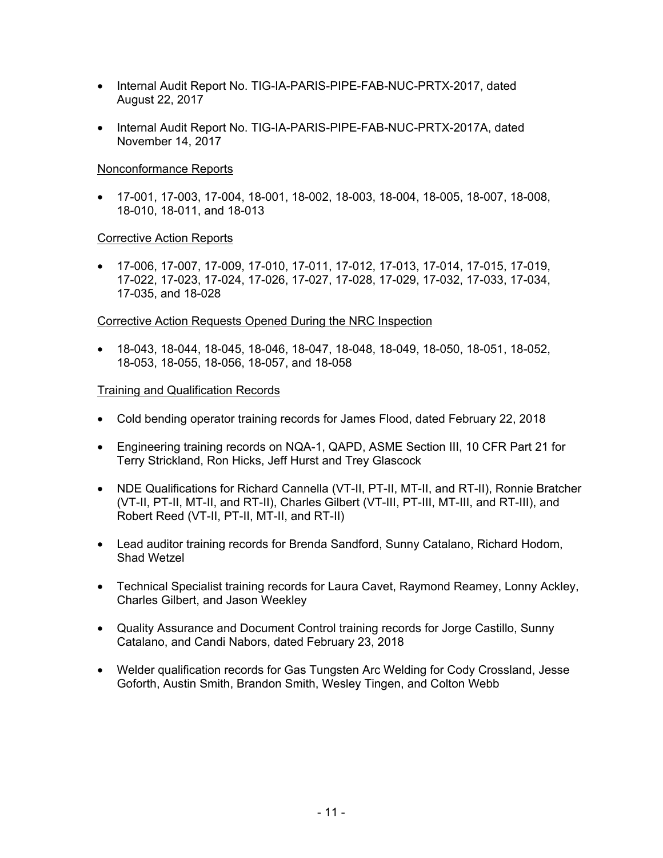- Internal Audit Report No. TIG-IA-PARIS-PIPE-FAB-NUC-PRTX-2017, dated August 22, 2017
- Internal Audit Report No. TIG-IA-PARIS-PIPE-FAB-NUC-PRTX-2017A, dated November 14, 2017

## Nonconformance Reports

• 17-001, 17-003, 17-004, 18-001, 18-002, 18-003, 18-004, 18-005, 18-007, 18-008, 18-010, 18-011, and 18-013

## Corrective Action Reports

• 17-006, 17-007, 17-009, 17-010, 17-011, 17-012, 17-013, 17-014, 17-015, 17-019, 17-022, 17-023, 17-024, 17-026, 17-027, 17-028, 17-029, 17-032, 17-033, 17-034, 17-035, and 18-028

## Corrective Action Requests Opened During the NRC Inspection

• 18-043, 18-044, 18-045, 18-046, 18-047, 18-048, 18-049, 18-050, 18-051, 18-052, 18-053, 18-055, 18-056, 18-057, and 18-058

## Training and Qualification Records

- Cold bending operator training records for James Flood, dated February 22, 2018
- Engineering training records on NQA-1, QAPD, ASME Section III, 10 CFR Part 21 for Terry Strickland, Ron Hicks, Jeff Hurst and Trey Glascock
- NDE Qualifications for Richard Cannella (VT-II, PT-II, MT-II, and RT-II), Ronnie Bratcher (VT-II, PT-II, MT-II, and RT-II), Charles Gilbert (VT-III, PT-III, MT-III, and RT-III), and Robert Reed (VT-II, PT-II, MT-II, and RT-II)
- Lead auditor training records for Brenda Sandford, Sunny Catalano, Richard Hodom, Shad Wetzel
- Technical Specialist training records for Laura Cavet, Raymond Reamey, Lonny Ackley, Charles Gilbert, and Jason Weekley
- Quality Assurance and Document Control training records for Jorge Castillo, Sunny Catalano, and Candi Nabors, dated February 23, 2018
- Welder qualification records for Gas Tungsten Arc Welding for Cody Crossland, Jesse Goforth, Austin Smith, Brandon Smith, Wesley Tingen, and Colton Webb